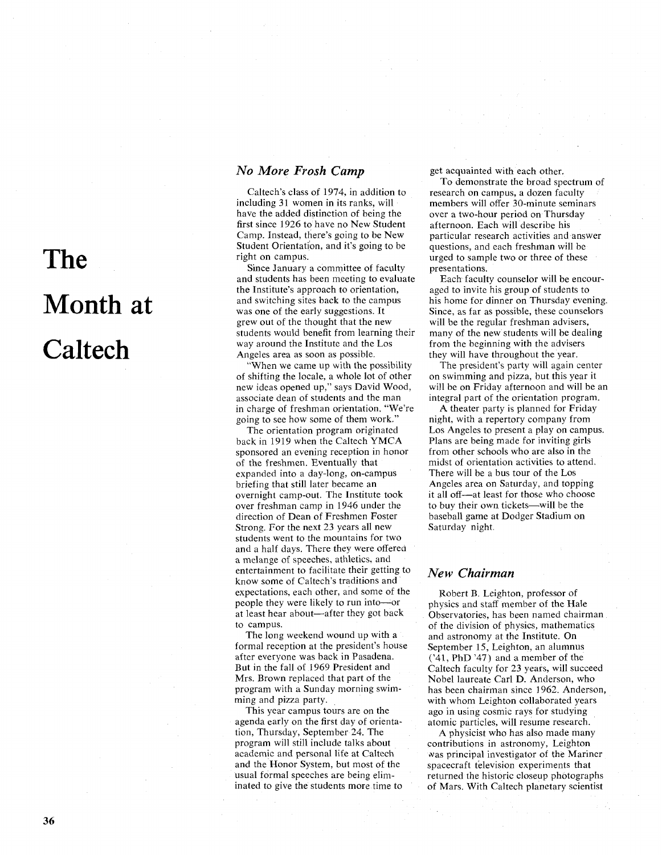# **The**  Month **at Caltech**

# *No More Frosh Camp*

Caltech's class of 1974, in addition to including 31 women in its ranks, will have the added distinction of being the first since 1926 to have no New Student Camp. Instead, there's going to be New Student Orientation, and it's going to be right on campus.

Since January a committee of faculty and students has been meeting to evaluate the Institute's approach to orientation, and switching sites back to the campus was one of the early suggestions. It grew out of the thought that the new students would benefit from learning their way around the Institute and the Los Angeles area as soon as possible.

'When we came up with the possibility of shifting the locale, a whole lot of other new ideas opened up," says David Wood, associate dean of students and the man in charge of freshman orientation. "We're going to see how some of them work."

The orientation program originated back in 1919 when the Caltech YMCA sponsored an evening reception in honor of the freshmen. Eventually that expanded into a day-long, on-campus briefing that still later became an overnight camp-out. The Institute took over freshman camp in 1946 under the direction of Dean of Freshmen Foster Strong. For the next 23 years all new students went to the mountains for two and a half days. There they were offered a melange of speeches, athletics, and entertainment to facilitate their getting to know some of Caltech's traditions and expectations, each other, and some of the people they were likely to run into-or at least hear about—after they got back to campus.

The long weekend wound up with a formal reception at the president's house after everyone was back in Pasadena. But in the fall of 1969 President and Mrs. Brown replaced that part of the program with a Sunday morning swimming and pizza party.

This year campus tours are on the agenda early on the first day of orientation, Thursday, September 24. The program will still include talks about academic and personal life at Caltech and the Honor System, but most of the usual formal speeches are being eliminated to give the students more time to get acquainted with each other.

To demonstrate the broad spectrum of research on campus, a dozen faculty members will offer 30-minute seminars over a two-hour period on Thursday afternoon. Each will describe his particular research activities and answer questions, and each freshman will be urged to sample two or three of these presentations.

Each faculty counselor will be encouraged to invite his group of students to his home for dinner on Thursday evening. Since, as far as possible, these counselors will be the regular freshman advisers, many of the new students will be dealing from the beginning with the advisers they will have throughout the year.

The president's party will again center on swimming and pizza, but this year it will be on Friday afternoon and will be an integral part of the orientation program.

A theater party is planned for Friday night, with a repertory company from Los Angeles to present a play on campus. Plans are being made for inviting girls from other schools who are also in the midst of orientation activities to attend. There will be a bus tour of the Los Angeles area on Saturday, and topping it all off-at least for those who choose to buy their own tickets-will be the baseball game at Dodger Stadium on Saturday night.

#### **New** *Chairman*

Robert B. Leighton, professor of physics and staff member of the Hale Observatories, has been named chairman of the division of physics, mathematics and astronomy at the Institute. On September 15, Leighton, an alumnus ('41, PhD '47) and a member of the Caltech faculty for 23 years, will succeed Nobel laureate Carl D. Anderson, who has been chairman since 1962. Anderson, with whom Leighton collaborated years ago in using cosmic rays for studying atomic particles, will resume research.

A physicist who has also made many contributions in astronomy, Leighton was principal investigator of the Mariner spacecraft television experiments that returned the historic closeup photographs of Mars. With Caltech planetary scientist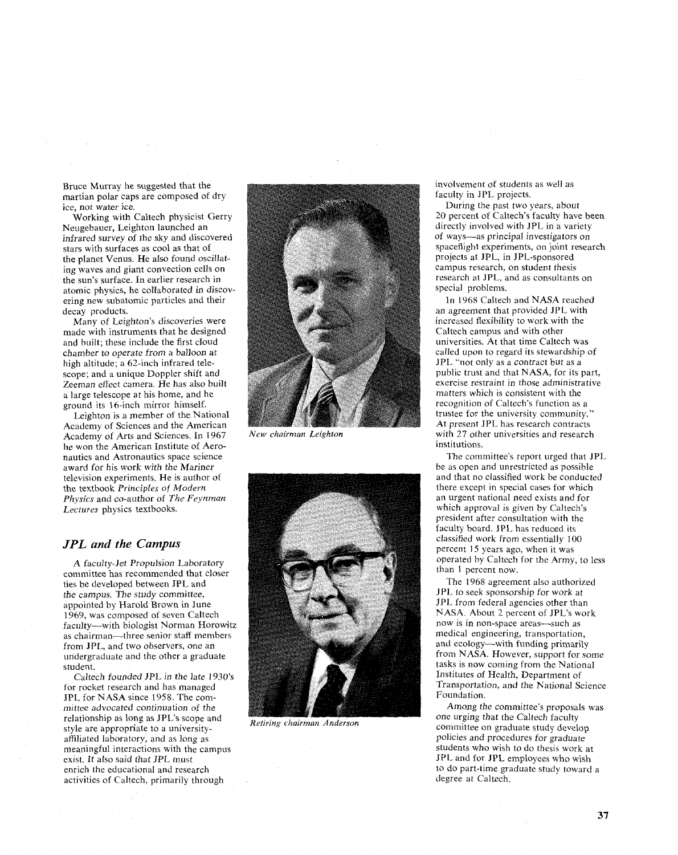Bruce Murray he suggested that the martian polar caps are composed of dry ice, not water ice.

Working with Caltech physicist Gerry Neugebauer, Leighton launched an infrared survey of the sky and discovered stars with surfaces as cool as that of the planet Venus. He also found oscillating waves and giant convection cells on the sun's surface. In earlier research in atomic physics, he collaborated in discovering new subatomic particles and their decay products.

Many of Leighton's discoveries were made with instruments that he designed and built; these include the first cloud chamber to operate from a balloon at high altitude; a 62-inch infrared telescope; and a unique Doppler shift and Zeeman effect camera. He has also built a large telescope at his home, and he ground its 16-inch mirror himself.

Leighton is a member of the National Academy of Sciences and the American Academy of Arts and Sciences. In 1967 New *chairman Leighton* he won the American Institute of Aeronautics and Astronautics space science award for his work with the Mariner television experiments. He is author of the textbook **Principles** of Modern *Physics* and co-author of *The Feynman Lectures* physics textbooks.

#### *JPL and the* **Campus**

A faculty-Jet Propulsion Laboratory committee has recommended that closer ties be developed between JPL and the campus. The study committee, appointed by Harold Brown in June 1969, was composed of seven Caltech faculty-with biologist Norman Horowitz as chairman-three senior staff members from JPL, and two observers, one an undergraduate and the other a graduate student.

Caltech founded *JPL in* the late 1930's for rocket research and has managed JPL for NASA since 1958. The committee advocated continuation of the relationship as long as JPL's scope and style are appropriate to a universitvaffiliated laboratory, and as long as meaningful interactions with the campus exist. It also said that *JPL* must enrich the educational and research activities of Caltech, primarily through





*Retiring chairman Anderson* 

involvement of students as well as faculty in JPL projects.

During the past two years, about 20 percent of Caltech's faculty have been directly involved with JPL in a variety of ways-as principal investigators on spaceflight experiments, on joint research projects at JPL, in JPL-sponsored campus research, on student thesis research at JPL, and as consultants on special problems.

In 1968 Caltech and NASA reached an agreement that provided JPL with increased flexibility to work with the Caltech campus and with other universities. At that time Caltech was called upon to regard its stewardship of JPL "not only as a contract but as a public trust and that NASA, for its part, exercise restraint in those administrative matters which is consistent with the recognition of Caltech's function as a trustee for the university community." At present JPL has research contracts with 27 other universities and research institutions.

The committee's report urged that JPL be as open and unrestricted as possible and that no classified work be conducted there except in special cases for which an urgent national need exists and for which approval is given by Caltech's president after consultation with the faculty board. JPL has reduced its classified work from essentially 100 percent 15 years ago, when it was operated by Caltech for the Army, to less than 1 percent now.

The 1968 agreement also authorized JPL to seek sponsorship for work at JPL from federal agencies other than NASA. About 2 percent of JPL's work now is in non-space areas-such as medical engineering, transportation, and ecology--with funding primarily from NASA. However, support for some tasks is now coming from the National Institutes of Health, Department of Transportation, and the National Science Foundation.

Among the committee's proposals was one urging that the Caltech faculty committee on graduate study develop policies and procedures for graduate students who wish to do thesis work at JPL and for JPL employees who wish to do part-time graduate study toward a degree at Caltech.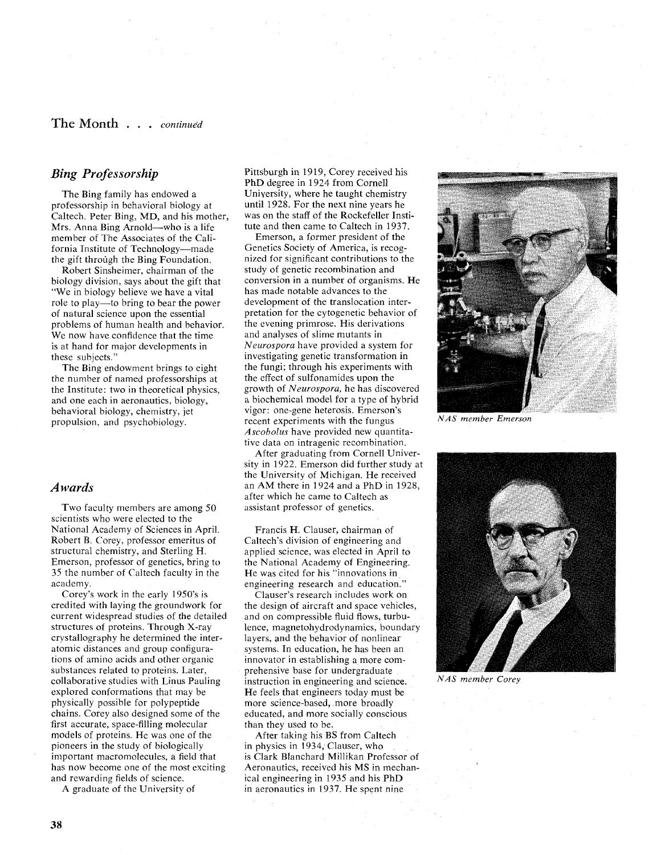#### **The** Month . . . *continued*

### **Bing Professorship**

The Bing family has endowed a professorship in behavioral biology at Caltech. Peter Bing, MD, and his mother, Mrs. Anna Bing Arnold-who is a life member of The Associates of the California Institute of Technology-made the gift through the Bing Foundation.

Robert Sinsheimer, chairman of the biology division, says about the gift that "We in biology believe we have a vital role to play—to bring to bear the power of natural science upon the essential problems of human health and behavior. We now have confidence that the time is at hand for major developments in these subjects."

The Bing endowment brings to eight the number of named professorships at the Institute: two in theoretical physics, and one each in aeronautics, biology, behavioral biology, chemistry, jet propulsion, and psychobiology.

#### **Awards**

Two faculty members are among 50 scientists who were elected to the National Academy of Sciences in April. Robert B. Corey, professor emeritus of structural chemistry, and Sterling H. Emerson, professor of genetics, bring to 35 the number of Caltech faculty in the academy.

Corey's work in the early 1950's is credited with laying the groundwork for current widespread studies of the detailed structures of proteins. Through X-ray crystallography he determined the interatomic distances and group configurations of amino acids and other organic substances related to proteins. Later, collaborative studies with Linus Pauling explored conformations that may be physically possible for polypeptide chains. Corey also designed some of the first accurate, space-filling molecular models of proteins. He was one of the pioneers in the study of biologically important macromolecules, a field that has now become one of the most exciting and rewarding fields of science.

A graduate of the University of

Pittsburgh in 1919, Corey received his PhD degree in 1924 from Cornell University, where he taught chemistry until 1928. For the next nine years he was on the staff of the Rockefeller Institute and then came to Caltech in 1937.

Emerson, a former president of the Genetics Society of America, is recognized for significant contributions to the study of genetic recombination and conversion in a number of organisms. He has made notable advances to the development of the translocation interpretation for the cytogenetic behavior of the evening primrose. His derivations and analyses of slime mutants in *Neurospora* have provided a system for investigating genetic transformation in the fungi; through his experiments with the effect of sulfonamides upon the growth of *Neurospora,* he has discovered a biochemical model for a type of hybrid vigor: one-gene heterosis. Emerson's recent experiments with the fungus *Ascobolus* have provided new quantitative data on intragenic recombination.

After graduating from Cornell University in 1922. Emerson did further study at the University of Michigan. He received an AM there in 1924 and a PhD in 1928, after which he came to Caltech as assistant professor of genetics.

Francis H. Clauser, chairman of Caltech's division of engineering and applied science, was elected in April to the National Academy of Engineering. He was cited for his "innovations in engineering research and education."

Clauser's research includes work on the design of aircraft and space vehicles, and on compressible fluid flows, turbulence, magnetohydrodynamics, boundary layers, and the behavior of nonlinear systems. In education, he has been an innovator in establishing a more comprehensive base for undergraduate instruction in engineering and science. He feels that engineers today must be more science-based, more broadly educated, and more socially conscious than they used to be.

After taking his BS from Caltech in physics in 1934, Clauser, who is Clark Blanchard Millikan Professor of Aeronautics, received his MS in mechanical engineering in 1935 and his PhD in aeronautics in 1937. He spent nine



*NAS member Emerson* 



*NAS member Corey*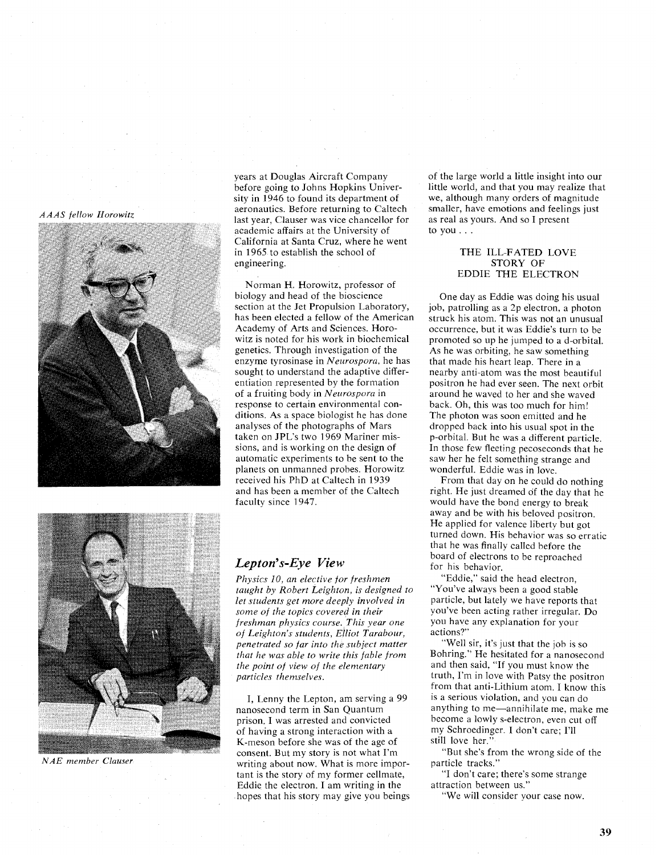#### *AAAS fellow Horowitz*



years at Douglas Aircraft Company before going to Johns Hopkins University in 1946 to found its department of aeronautics. Before returning to Caltech last year, Clauser was vice chancellor for academic affairs at the University of California at Santa Cruz, where he went in 1965 to establish the school of engineering.

Norman H. Horowitz, professor of biology and head of the bioscience section at the Jet Propulsion Laboratory, has been elected a fellow of the American Academy of Arts and Sciences. Horowitz is noted for his work in biochemical genetics. Through investigation of the enzyme tyrosinase in *Neurospora,* he has sought to understand the adaptive differentiation represented by the formation of a fruiting body in *Neurospora* in response to certain environmental conditions. As a space biologist he has done analyses of the photographs of Mars taken on JPL's two 1969 Mariner missions, and is working on the design of automatic experiments to be sent to the planets on unmanned probes. Horowitz received his PhD at Caltech in 1939 and has been a member of the Caltech faculty since 1947.



#### *NAE member Clauser*

## *Lepton's-Eye View*

*Physics 10, an elective for freshmen taught by Robert Leighton, is designed to let students get more deeply involved in some of the topics covered in their freshman physics course. This year one of Leighton's students, Elliot Tarabour, penetrated so far into the subject matter that he was able to write this fable from the point of view of the elementary particles themselves.* 

I, Lenny the Lepton, am serving a 99 nanosecond term in San Quantum prison. I was arrested and convicted of having a strong interaction with a K-meson before she was of the age of consent. But my story is not what I'm writing about now. What is more important is the story of my former cellmate, Eddie the electron. I am writing in the hopes that his story may give you beings of the large world a little insight into our little world, and that you may realize that we, although many orders of magnitude smaller, have emotions and feelings just as real as yours. And so I present to you. . .

#### THE ILL-FATED LOVE STORY OF EDDIE THE ELECTRON

One day as Eddie was doing his usual job, patrolling as a 2p electron, a photon struck his atom. This was not an unusual occurrence, but it was Eddie's turn to be promoted so up he jumped to a d-orbital. As he was orbiting, he saw something that made his heart leap. There in a nearby anti-atom was the most beautiful positron he had ever seen. The next orbit around he waved to her and she waved back. Oh. this was too much for him! The photon was soon emitted and he dropped back into his usual spot in the p-orbital. But he was a different particle. In those few fleeting pecoseconds that he saw her he felt something strange and wonderful. Eddie was in love.

From that day on he could do nothing right. He just dreamed of the day that he would have the bond energy to break away and be with his beloved positron. He applied for valence liberty but got turned down. His behavior was so erratic that he was finally called before the board of electrons to be reproached for his behavior.

"Eddie," said the head electron, "You've always been a good stable particle, but lately we have reports that you've been acting rather irregular. Do you have any explanation for your actions?"

"Well sir, it's just that the job is so Bohring." He hesitated for a nanosecond and then said, "If you must know the truth, I'm in love with Patsy the positron from that anti-Lithium atom. I know this is a serious violation, and you can do anything to me-annihilate me, make me become a lowly s-electron, even cut off my Schroedinger. I don't care; I'll still love her.'

"But she's from the wrong side of the particle tracks."

"I don't care; there's some strange attraction between us.''

"We will consider your case now.